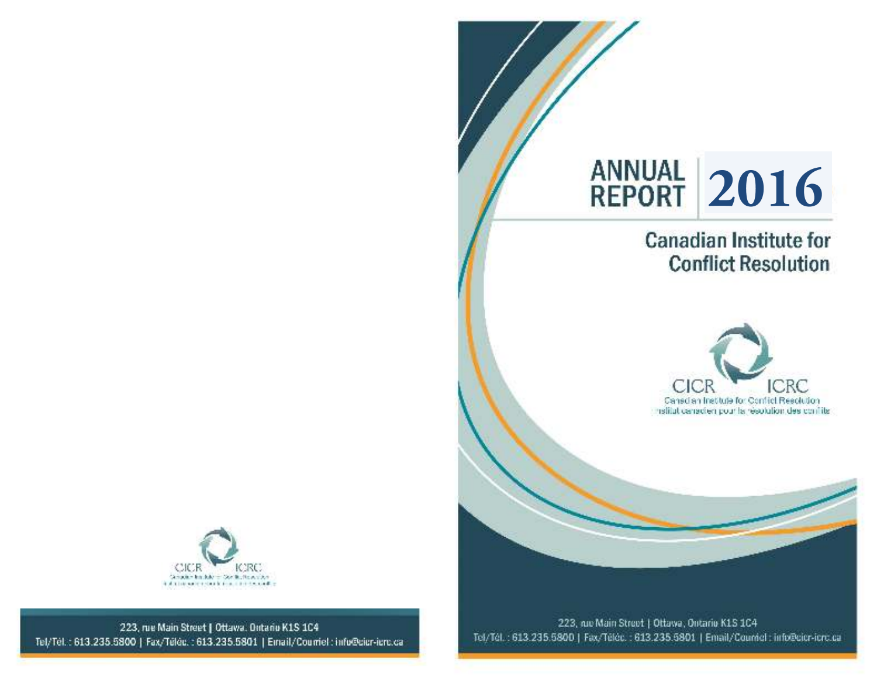

## **Canadian Institute for Conflict Resolution**





223, rue Main Street | Ottawa. Ontario K1S 1C4 Tel/Tél.: 613.235.5800 | Fax/Télée.: 613.235.5801 | Email/Courriel: infu@cier-ierc.ca

223, rue Main Street | Ottawa, Ontario K1S 1C4 Tel/Tél.: 613.235.5800 | Fax/Téléc.: 613.235.5801 | Email/Countel: info@cier-icrc.ca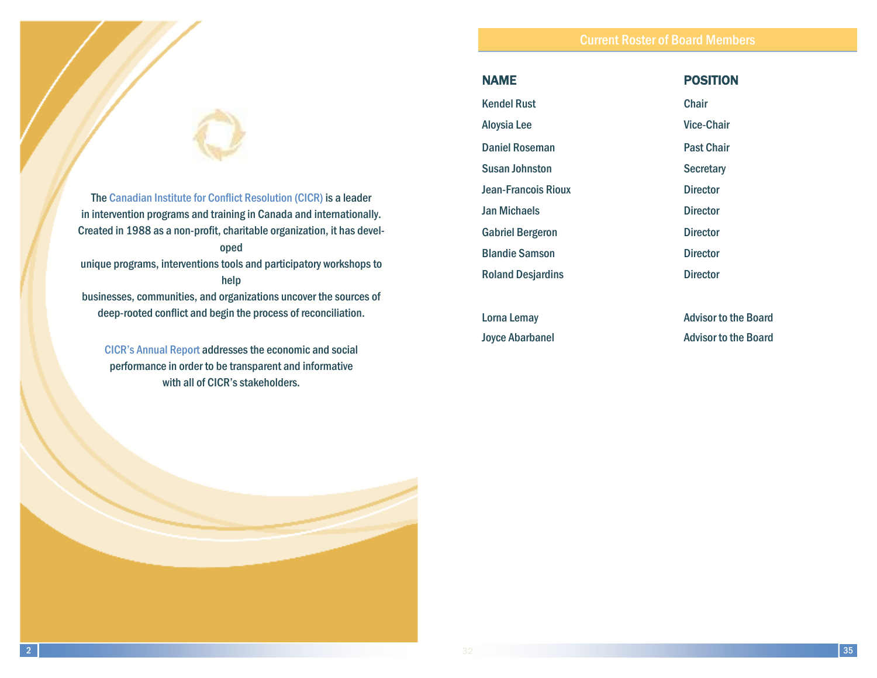### Current Roster of Board Members

### The Canadian Institute for Conflict Resolution (CICR) is a leader in intervention programs and training in Canada and internationally. Created in 1988 as a non-profit, charitable organization, it has developed unique programs, interventions tools and participatory workshops to help businesses, communities, and organizations uncover the sources of

deep-rooted conflict and begin the process of reconciliation.

CICR's Annual Report addresses the economic and social performance in order to be transparent and informative with all of CICR's stakeholders.

### NAME POSITION Kendel Rust Chair Aloysia Lee Vice-Chair Daniel Roseman **Past Chair** Susan Johnston Secretary Jean-Francois Rioux Director **Jan Michaels** Director Gabriel Bergeron **Director** Blandie Samson Director Roland Desjardins **Director**

Lorna Lemay **Advisor to the Board** Joyce Abarbanel **Advisor to the Board**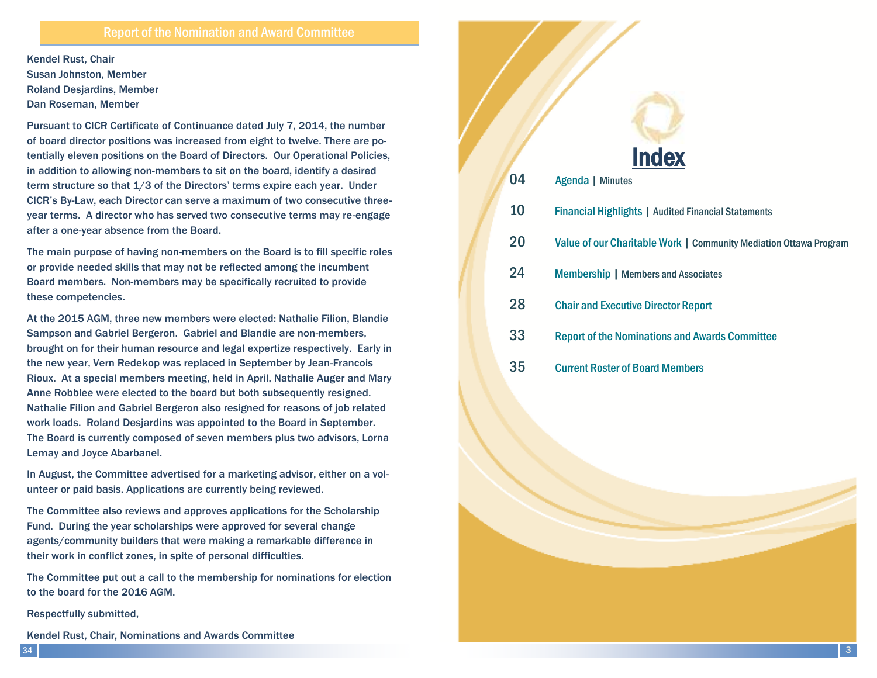### Report of the Nomination and Award Committee

Kendel Rust, Chair Susan Johnston, Member Roland Desjardins, Member Dan Roseman, Member

Pursuant to CICR Certificate of Continuance dated July 7, 2014, the number of board director positions was increased from eight to twelve. There are potentially eleven positions on the Board of Directors. Our Operational Policies, in addition to allowing non-members to sit on the board, identify a desired term structure so that 1/3 of the Directors' terms expire each year. Under CICR's By-Law, each Director can serve a maximum of two consecutive threeyear terms. A director who has served two consecutive terms may re-engage after a one-year absence from the Board.

The main purpose of having non-members on the Board is to fill specific roles or provide needed skills that may not be reflected among the incumbent Board members. Non-members may be specifically recruited to provide these competencies.

At the 2015 AGM, three new members were elected: Nathalie Filion, Blandie Sampson and Gabriel Bergeron. Gabriel and Blandie are non-members, brought on for their human resource and legal expertize respectively. Early in the new year, Vern Redekop was replaced in September by Jean-Francois Rioux. At a special members meeting, held in April, Nathalie Auger and Mary Anne Robblee were elected to the board but both subsequently resigned. Nathalie Filion and Gabriel Bergeron also resigned for reasons of job related work loads. Roland Desjardins was appointed to the Board in September. The Board is currently composed of seven members plus two advisors, Lorna Lemay and Joyce Abarbanel.

In August, the Committee advertised for a marketing advisor, either on a volunteer or paid basis. Applications are currently being reviewed.

The Committee also reviews and approves applications for the Scholarship Fund. During the year scholarships were approved for several change agents/community builders that were making a remarkable difference in their work in conflict zones, in spite of personal difficulties.

The Committee put out a call to the membership for nominations for election to the board for the 2016 AGM.

Respectfully submitted,

Kendel Rust, Chair, Nominations and Awards Committee

|    | <b>Index</b>                                                      |
|----|-------------------------------------------------------------------|
| 04 | Agenda   Minutes                                                  |
| 10 | <b>Financial Highlights   Audited Financial Statements</b>        |
| 20 | Value of our Charitable Work   Community Mediation Ottawa Program |
| 24 | <b>Membership   Members and Associates</b>                        |
| 28 | <b>Chair and Executive Director Report</b>                        |
| 33 | <b>Report of the Nominations and Awards Committee</b>             |
| 35 | <b>Current Roster of Board Members</b>                            |

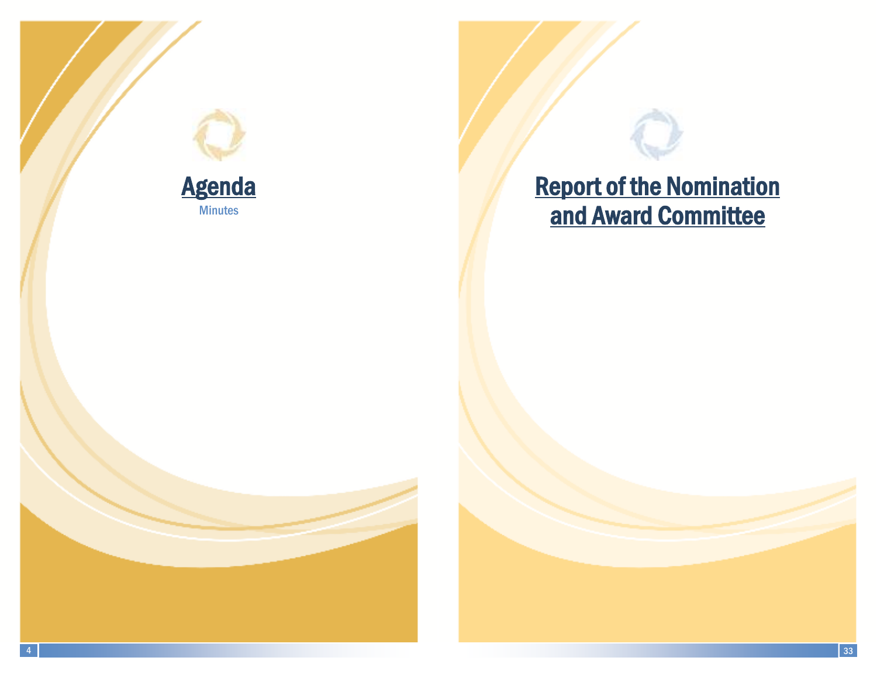

# Report of the Nomination and Award Committee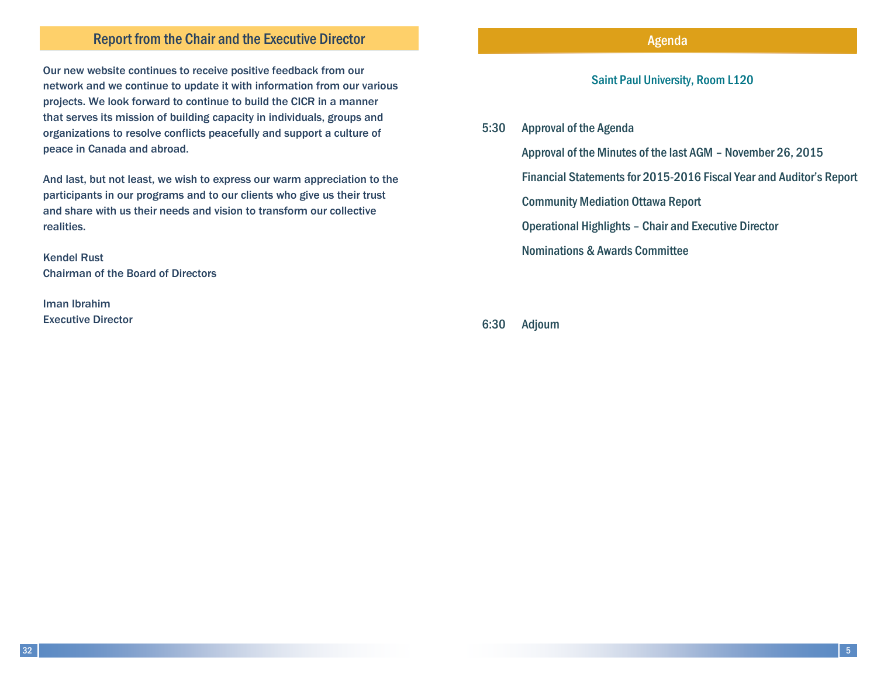### Report from the Chair and the Executive Director

Our new website continues to receive positive feedback from our network and we continue to update it with information from our various projects. We look forward to continue to build the CICR in a manner that serves its mission of building capacity in individuals, groups and organizations to resolve conflicts peacefully and support a culture of peace in Canada and abroad.

And last, but not least, we wish to express our warm appreciation to the participants in our programs and to our clients who give us their trust and share with us their needs and vision to transform our collective realities.

Kendel Rust Chairman of the Board of Directors

Iman Ibrahim Executive Director

### Agenda

### Saint Paul University, Room L120

### 5:30 Approval of the Agenda

Approval of the Minutes of the last AGM – November 26, 2015

Financial Statements for 2015-2016 Fiscal Year and Auditor's Report

Community Mediation Ottawa Report

Operational Highlights – Chair and Executive Director

Nominations & Awards Committee

6:30 Adjourn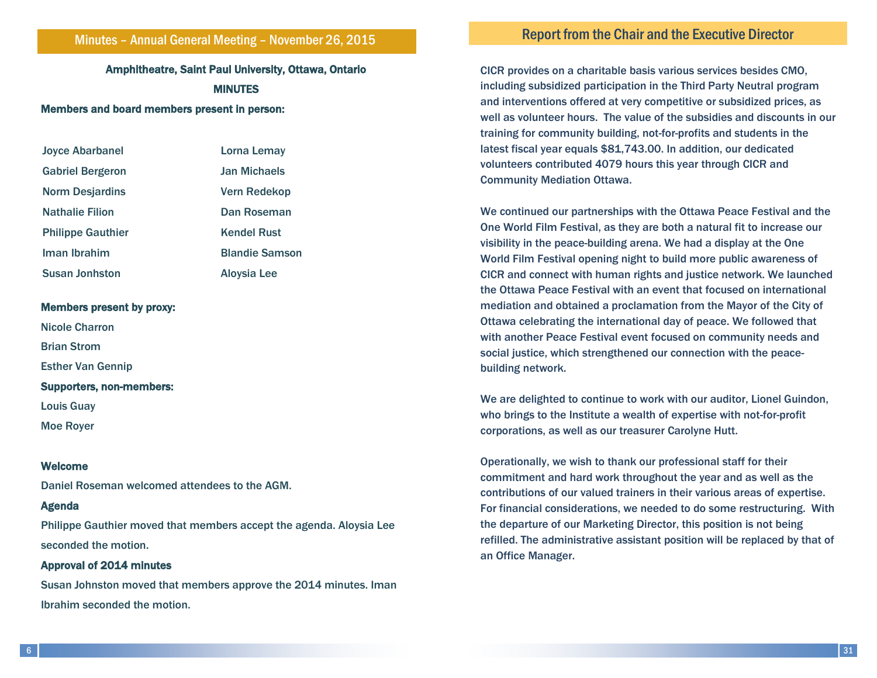Minutes – Annual General Meeting – November 26, 2015

### Amphitheatre, Saint Paul University, Ottawa, Ontario MINUTES Members and board members present in person:

| <b>Joyce Abarbanel</b>   | <b>Lorna Lemay</b>    |
|--------------------------|-----------------------|
| <b>Gabriel Bergeron</b>  | Jan Michaels          |
| <b>Norm Desjardins</b>   | <b>Vern Redekop</b>   |
| <b>Nathalie Filion</b>   | Dan Roseman           |
| <b>Philippe Gauthier</b> | <b>Kendel Rust</b>    |
| Iman Ibrahim             | <b>Blandie Samson</b> |
| <b>Susan Jonhston</b>    | Aloysia Lee           |

#### Members present by proxy:

Nicole Charron

Brian Strom

Esther Van Gennip

#### Supporters, non-members:

Louis Guay

Moe Royer

#### **Welcome**

Daniel Roseman welcomed attendees to the AGM.

#### Agenda

Philippe Gauthier moved that members accept the agenda. Aloysia Lee seconded the motion.

#### Approval of 2014 minutes

Susan Johnston moved that members approve the 2014 minutes. Iman Ibrahim seconded the motion.

### Report from the Chair and the Executive Director

CICR provides on a charitable basis various services besides CMO, including subsidized participation in the Third Party Neutral program and interventions offered at very competitive or subsidized prices, as well as volunteer hours. The value of the subsidies and discounts in our training for community building, not-for-profits and students in the latest fiscal year equals \$81,743.00. In addition, our dedicated volunteers contributed 4079 hours this year through CICR and Community Mediation Ottawa.

We continued our partnerships with the Ottawa Peace Festival and the One World Film Festival, as they are both a natural fit to increase our visibility in the peace-building arena. We had a display at the One World Film Festival opening night to build more public awareness of CICR and connect with human rights and justice network. We launched the Ottawa Peace Festival with an event that focused on international mediation and obtained a proclamation from the Mayor of the City of Ottawa celebrating the international day of peace. We followed that with another Peace Festival event focused on community needs and social justice, which strengthened our connection with the peacebuilding network.

We are delighted to continue to work with our auditor, Lionel Guindon, who brings to the Institute a wealth of expertise with not-for-profit corporations, as well as our treasurer Carolyne Hutt.

Operationally, we wish to thank our professional staff for their commitment and hard work throughout the year and as well as the contributions of our valued trainers in their various areas of expertise. For financial considerations, we needed to do some restructuring. With the departure of our Marketing Director, this position is not being refilled. The administrative assistant position will be replaced by that of an Office Manager.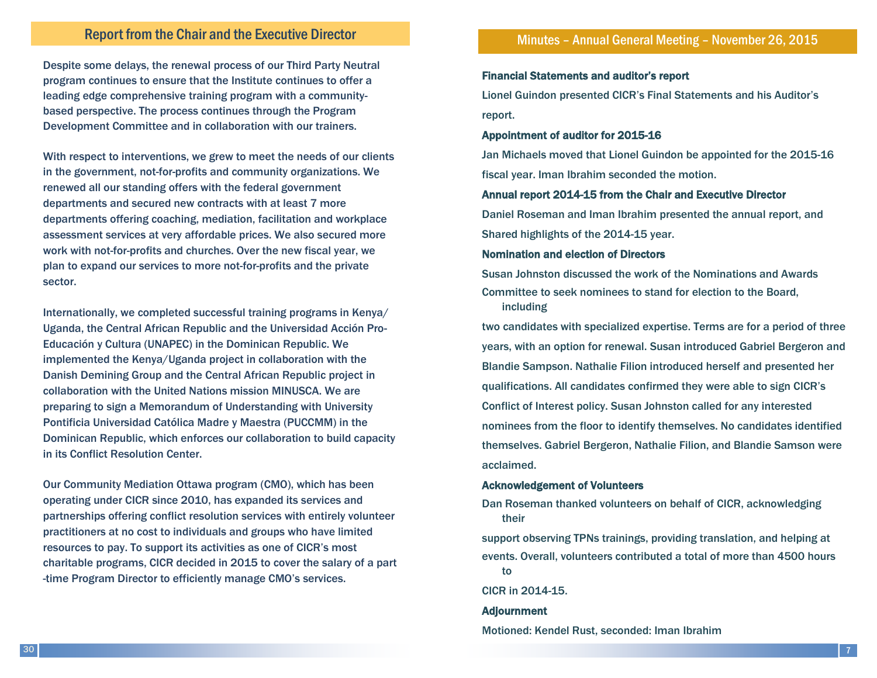### Report from the Chair and the Executive Director

Despite some delays, the renewal process of our Third Party Neutral program continues to ensure that the Institute continues to offer a leading edge comprehensive training program with a communitybased perspective. The process continues through the Program Development Committee and in collaboration with our trainers.

With respect to interventions, we grew to meet the needs of our clients in the government, not-for-profits and community organizations. We renewed all our standing offers with the federal government departments and secured new contracts with at least 7 more departments offering coaching, mediation, facilitation and workplace assessment services at very affordable prices. We also secured more work with not-for-profits and churches. Over the new fiscal year, we plan to expand our services to more not-for-profits and the private sector.

Internationally, we completed successful training programs in Kenya/ Uganda, the Central African Republic and the Universidad Acción Pro-Educación y Cultura (UNAPEC) in the Dominican Republic. We implemented the Kenya/Uganda project in collaboration with the Danish Demining Group and the Central African Republic project in collaboration with the United Nations mission MINUSCA. We are preparing to sign a Memorandum of Understanding with University Pontificia Universidad Católica Madre y Maestra (PUCCMM) in the Dominican Republic, which enforces our collaboration to build capacity in its Conflict Resolution Center.

Our Community Mediation Ottawa program (CMO), which has been operating under CICR since 2010, has expanded its services and partnerships offering conflict resolution services with entirely volunteer practitioners at no cost to individuals and groups who have limited resources to pay. To support its activities as one of CICR's most charitable programs, CICR decided in 2015 to cover the salary of a part -time Program Director to efficiently manage CMO's services.

#### Financial Statements and auditor's report

Lionel Guindon presented CICR's Final Statements and his Auditor's report.

#### Appointment of auditor for 2015-16

Jan Michaels moved that Lionel Guindon be appointed for the 2015-16 fiscal year. Iman Ibrahim seconded the motion.

#### Annual report 2014-15 from the Chair and Executive Director

Daniel Roseman and Iman Ibrahim presented the annual report, and Shared highlights of the 2014-15 year.

#### Nomination and election of Directors

Susan Johnston discussed the work of the Nominations and Awards Committee to seek nominees to stand for election to the Board, including

two candidates with specialized expertise. Terms are for a period of three years, with an option for renewal. Susan introduced Gabriel Bergeron and Blandie Sampson. Nathalie Filion introduced herself and presented her qualifications. All candidates confirmed they were able to sign CICR's Conflict of Interest policy. Susan Johnston called for any interested nominees from the floor to identify themselves. No candidates identified themselves. Gabriel Bergeron, Nathalie Filion, and Blandie Samson were acclaimed.

#### Acknowledgement of Volunteers

Dan Roseman thanked volunteers on behalf of CICR, acknowledging their

support observing TPNs trainings, providing translation, and helping at events. Overall, volunteers contributed a total of more than 4500 hours to

### CICR in 2014-15.

#### Adjournment

Motioned: Kendel Rust, seconded: Iman Ibrahim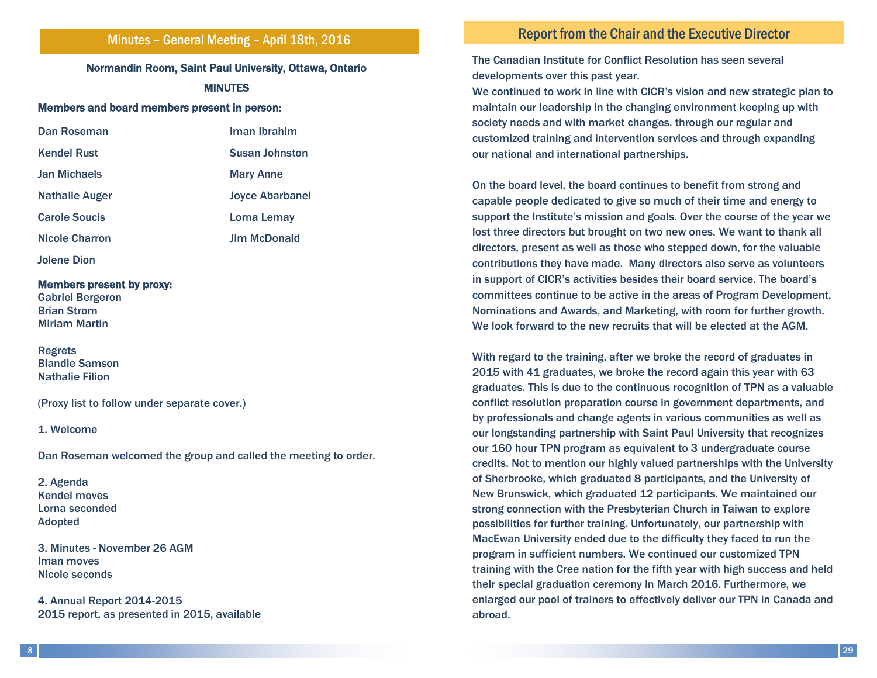### Minutes – General Meeting – April 18th, 2016

### Normandin Room, Saint Paul University, Ottawa, Ontario

### **MINUTES**

#### Members and board members present in person:

| Dan Roseman           | Iman Ibrahim           |
|-----------------------|------------------------|
| <b>Kendel Rust</b>    | Susan Johnston         |
| <b>Jan Michaels</b>   | <b>Mary Anne</b>       |
| <b>Nathalie Auger</b> | <b>Joyce Abarbanel</b> |
| <b>Carole Soucis</b>  | <b>Lorna Lemay</b>     |
| Nicole Charron        | <b>Jim McDonald</b>    |
|                       |                        |

Jolene Dion

### Members present by proxy: Gabriel Bergeron

Brian Strom Miriam Martin

Regrets Blandie Samson Nathalie Filion

(Proxy list to follow under separate cover.)

1. Welcome

Dan Roseman welcomed the group and called the meeting to order.

2. Agenda Kendel moves Lorna seconded Adopted

3. Minutes - November 26 AGM Iman moves Nicole seconds

4. Annual Report 2014-2015 2015 report, as presented in 2015, available

### Report from the Chair and the Executive Director

The Canadian Institute for Conflict Resolution has seen several developments over this past year.

We continued to work in line with CICR's vision and new strategic plan to maintain our leadership in the changing environment keeping up with society needs and with market changes. through our regular and customized training and intervention services and through expanding our national and international partnerships.

On the board level, the board continues to benefit from strong and capable people dedicated to give so much of their time and energy to support the Institute's mission and goals. Over the course of the year we lost three directors but brought on two new ones. We want to thank all directors, present as well as those who stepped down, for the valuable contributions they have made. Many directors also serve as volunteers in support of CICR's activities besides their board service. The board's committees continue to be active in the areas of Program Development, Nominations and Awards, and Marketing, with room for further growth. We look forward to the new recruits that will be elected at the AGM.

With regard to the training, after we broke the record of graduates in 2015 with 41 graduates, we broke the record again this year with 63 graduates. This is due to the continuous recognition of TPN as a valuable conflict resolution preparation course in government departments, and by professionals and change agents in various communities as well as our longstanding partnership with Saint Paul University that recognizes our 160 hour TPN program as equivalent to 3 undergraduate course credits. Not to mention our highly valued partnerships with the University of Sherbrooke, which graduated 8 participants, and the University of New Brunswick, which graduated 12 participants. We maintained our strong connection with the Presbyterian Church in Taiwan to explore possibilities for further training. Unfortunately, our partnership with MacEwan University ended due to the difficulty they faced to run the program in sufficient numbers. We continued our customized TPN training with the Cree nation for the fifth year with high success and held their special graduation ceremony in March 2016. Furthermore, we enlarged our pool of trainers to effectively deliver our TPN in Canada and abroad.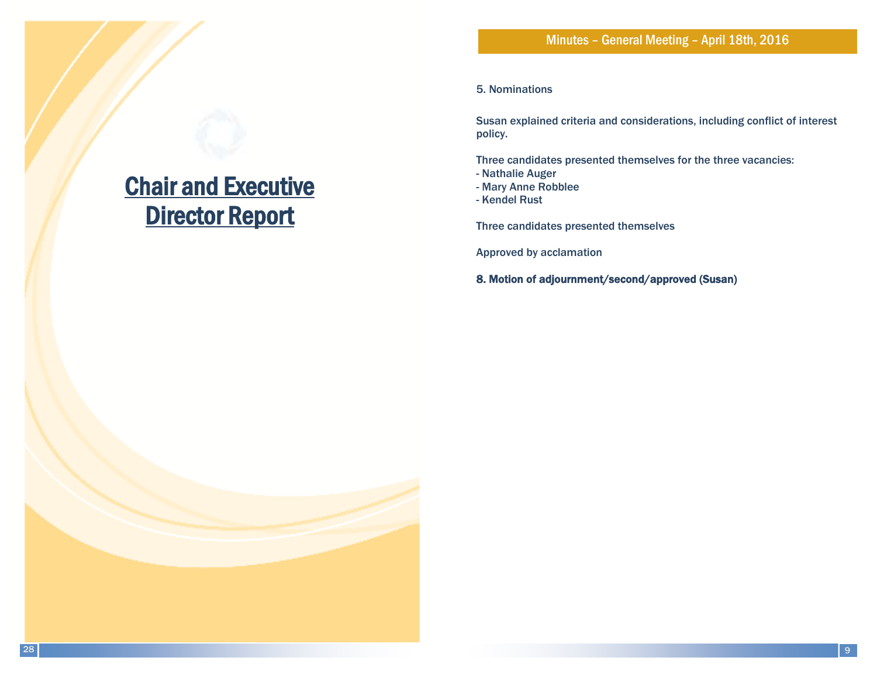# Chair and Executive Director Report

#### 5. Nominations

Susan explained criteria and considerations, including conflict of interest policy.

Three candidates presented themselves for the three vacancies:

- Nathalie Auger
- Mary Anne Robblee
- Kendel Rust

Three candidates presented themselves

Approved by acclamation

8. Motion of adjournment/second/approved (Susan)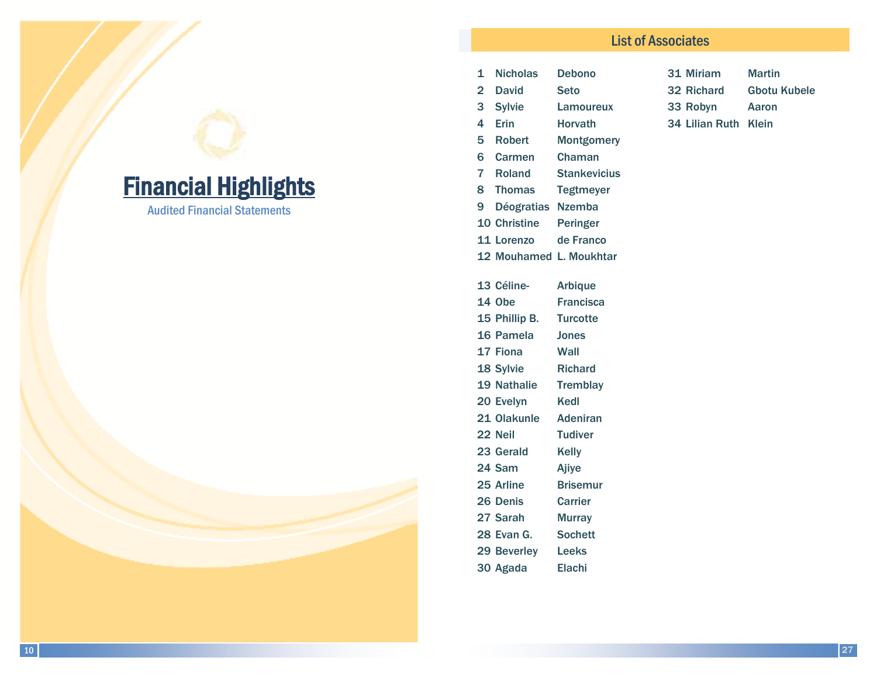# Financial Highlights

Audited Financial Statements

### List of Associates List of Associates

| 1              | <b>Nicholas</b>   | Debono                  |
|----------------|-------------------|-------------------------|
| $\overline{2}$ | <b>David</b>      | <b>Seto</b>             |
| 3              | <b>Sylvie</b>     | Lamoureux               |
| 4              | Erin              | <b>Horvath</b>          |
| 5              | <b>Robert</b>     | <b>Montgomery</b>       |
| 6              | Carmen            | Chaman                  |
| 7              | <b>Roland</b>     | <b>Stankevicius</b>     |
| 8              | <b>Thomas</b>     | <b>Tegtmeyer</b>        |
| 9              | Déogratias Nzemba |                         |
|                | 10 Christine      | Peringer                |
|                | 11 Lorenzo        | de Franco               |
|                |                   | 12 Mouhamed L. Moukhtar |
|                |                   |                         |
|                | 13 Céline-        | <b>Arbique</b>          |
|                | 14 Obe            | <b>Francisca</b>        |
|                | 15 Phillip B.     | <b>Turcotte</b>         |
|                | 16 Pamela         | Jones                   |
|                | 17 Fiona          | Wall                    |
|                | 18 Sylvie         | <b>Richard</b>          |
|                | 19 Nathalie       | <b>Tremblay</b>         |
|                | 20 Evelyn         | Kedl                    |
|                | 21 Olakunle       | <b>Adeniran</b>         |
|                | 22 Neil           | <b>Tudiver</b>          |
|                | 23 Gerald         | <b>Kelly</b>            |
|                | 24 Sam            | Ajiye                   |
|                | 25 Arline         | <b>Brisemur</b>         |
|                | 26 Denis          | <b>Carrier</b>          |
|                | 27 Sarah          | <b>Murray</b>           |
|                | 28 Evan G.        | <b>Sochett</b>          |
|                | 29 Beverley       | <b>Leeks</b>            |
|                | 30 Agada          | <b>Elachi</b>           |

31 Miriam Martin 32 Richard Gbotu Kubele 33 Robyn Aaron 34 Lilian Ruth Klein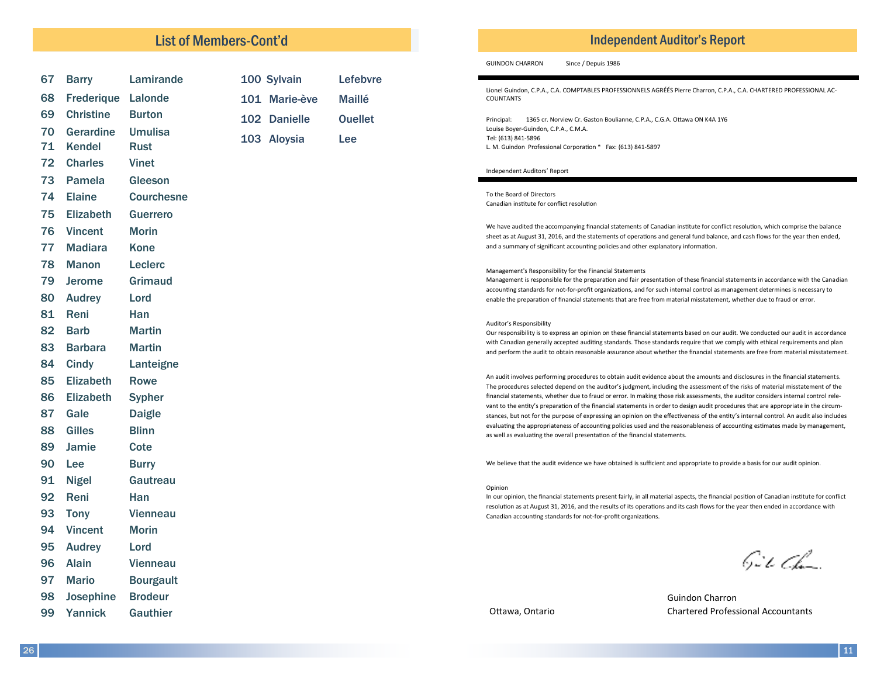### List of Members—Cont'd List of Members-Cont'd

| 67 | <b>Barry</b>     | Lamirande         | 100 Sylvain   | Lefebvre       |
|----|------------------|-------------------|---------------|----------------|
| 68 | Frederique       | Lalonde           | 101 Marie-ève | <b>Maillé</b>  |
| 69 | <b>Christine</b> | <b>Burton</b>     | 102 Danielle  | <b>Ouellet</b> |
| 70 | Gerardine        | <b>Umulisa</b>    | 103 Aloysia   | Lee            |
| 71 | Kendel           | <b>Rust</b>       |               |                |
| 72 | <b>Charles</b>   | <b>Vinet</b>      |               |                |
| 73 | Pamela           | Gleeson           |               |                |
| 74 | <b>Elaine</b>    | <b>Courchesne</b> |               |                |
| 75 | <b>Elizabeth</b> | <b>Guerrero</b>   |               |                |
| 76 | <b>Vincent</b>   | <b>Morin</b>      |               |                |
| 77 | <b>Madiara</b>   | Kone              |               |                |
| 78 | <b>Manon</b>     | <b>Leclerc</b>    |               |                |
| 79 | <b>Jerome</b>    | <b>Grimaud</b>    |               |                |
| 80 | <b>Audrey</b>    | Lord              |               |                |
| 81 | Reni             | Han               |               |                |
| 82 | <b>Barb</b>      | <b>Martin</b>     |               |                |
| 83 | <b>Barbara</b>   | <b>Martin</b>     |               |                |
| 84 | <b>Cindy</b>     | Lanteigne         |               |                |
| 85 | <b>Elizabeth</b> | <b>Rowe</b>       |               |                |
| 86 | <b>Elizabeth</b> | <b>Sypher</b>     |               |                |
| 87 | Gale             | <b>Daigle</b>     |               |                |
| 88 | <b>Gilles</b>    | <b>Blinn</b>      |               |                |
| 89 | Jamie            | Cote              |               |                |
| 90 | Lee              | <b>Burry</b>      |               |                |
| 91 | <b>Nigel</b>     | Gautreau          |               |                |
| 92 | Reni             | Han               |               |                |
| 93 | <b>Tony</b>      | <b>Vienneau</b>   |               |                |
| 94 | <b>Vincent</b>   | <b>Morin</b>      |               |                |
| 95 | <b>Audrey</b>    | Lord              |               |                |
| 96 | <b>Alain</b>     | <b>Vienneau</b>   |               |                |
| 97 | <b>Mario</b>     | <b>Bourgault</b>  |               |                |
| 98 | Josephine        | <b>Brodeur</b>    |               |                |
| 99 | <b>Yannick</b>   | Gauthier          |               |                |

### Independent Auditor's Report

GUINDON CHARRON Since / Depuis 1986

Lionel Guindon, C.P.A., C.A. COMPTABLES PROFESSIONNELS AGRÉÉS Pierre Charron, C.P.A., C.A. CHARTERED PROFESSIONAL AC-COUNTANTS

Principal: 1365 cr. Norview Cr. Gaston Boulianne, C.P.A., C.G.A. Ottawa ON K4A 1Y6 Louise Boyer-Guindon, C.P.A., C.M.A. Tel: (613) 841-5896 L. M. Guindon Professional Corporation \* Fax: (613) 841-5897

#### Independent Auditors' Report

To the Board of Directors Canadian institute for conflict resolution

We have audited the accompanying financial statements of Canadian institute for conflict resolution, which comprise the balance sheet as at August 31, 2016, and the statements of operations and general fund balance, and cash flows for the year then ended, and a summary of significant accounting policies and other explanatory information.

#### Management's Responsibility for the Financial Statements

Management is responsible for the preparation and fair presentation of these financial statements in accordance with the Canadian accounting standards for not-for-profit organizations, and for such internal control as management determines is necessary to enable the preparation of financial statements that are free from material misstatement, whether due to fraud or error.

#### Auditor's Responsibility

Our responsibility is to express an opinion on these financial statements based on our audit. We conducted our audit in accordance with Canadian generally accepted auditing standards. Those standards require that we comply with ethical requirements and plan and perform the audit to obtain reasonable assurance about whether the financial statements are free from material misstatement.

An audit involves performing procedures to obtain audit evidence about the amounts and disclosures in the financial statements. The procedures selected depend on the auditor's judgment, including the assessment of the risks of material misstatement of the financial statements, whether due to fraud or error. In making those risk assessments, the auditor considers internal control relevant to the entity's preparation of the financial statements in order to design audit procedures that are appropriate in the circumstances, but not for the purpose of expressing an opinion on the effectiveness of the entity's internal control. An audit also includes evaluating the appropriateness of accounting policies used and the reasonableness of accounting estimates made by management, as well as evaluating the overall presentation of the financial statements.

We believe that the audit evidence we have obtained is sufficient and appropriate to provide a basis for our audit opinion.

#### Opinion

In our opinion, the financial statements present fairly, in all material aspects, the financial position of Canadian institute for conflict resolution as at August 31, 2016, and the results of its operations and its cash flows for the year then ended in accordance with Canadian accounting standards for not-for-profit organizations.

62 Ch

Guindon Charron Ottawa, Ontario Chartered Professional Accountants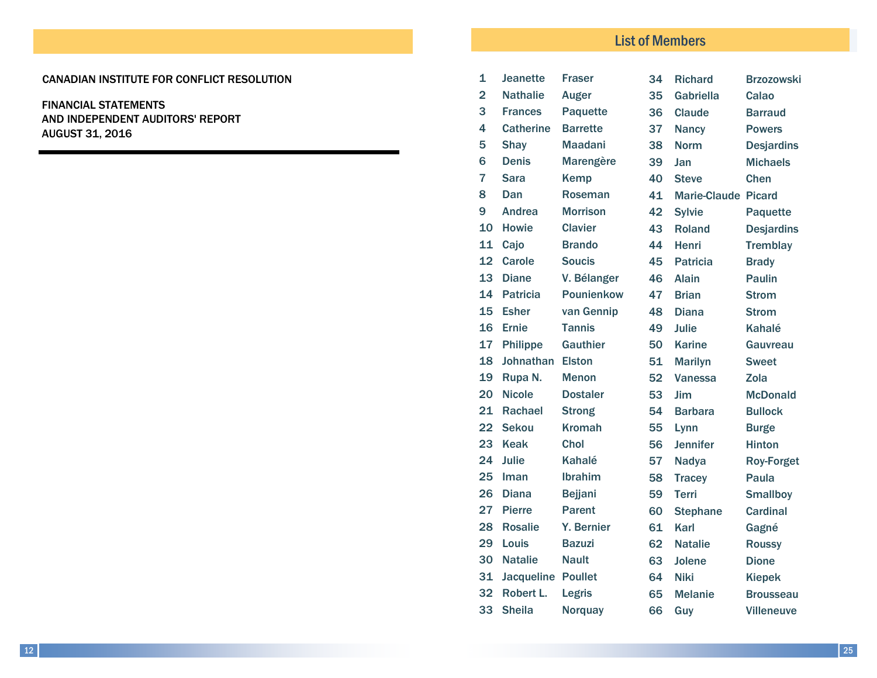### List of Members List of Members

### CANADIAN INSTITUTE FOR CONFLICT RESOLUTION

FINANCIAL STATEMENTS AND INDEPENDENT AUDITORS' REPORT AUGUST 31, 2016

| 1              | <b>Jeanette</b>   | <b>Fraser</b>    | 34 | <b>Richard</b>             | <b>Brzozowski</b> |
|----------------|-------------------|------------------|----|----------------------------|-------------------|
| $\overline{2}$ | <b>Nathalie</b>   | <b>Auger</b>     | 35 | <b>Gabriella</b>           | Calao             |
| 3              | <b>Frances</b>    | <b>Paquette</b>  | 36 | <b>Claude</b>              | <b>Barraud</b>    |
| 4              | <b>Catherine</b>  | <b>Barrette</b>  | 37 | <b>Nancy</b>               | <b>Powers</b>     |
| 5              | <b>Shay</b>       | <b>Maadani</b>   | 38 | <b>Norm</b>                | <b>Desjardins</b> |
| 6              | <b>Denis</b>      | <b>Marengère</b> | 39 | Jan                        | <b>Michaels</b>   |
| $\overline{7}$ | <b>Sara</b>       | Kemp             | 40 | <b>Steve</b>               | Chen              |
| 8              | Dan               | Roseman          | 41 | <b>Marie-Claude Picard</b> |                   |
| 9              | Andrea            | <b>Morrison</b>  | 42 | <b>Sylvie</b>              | <b>Paquette</b>   |
| 10             | <b>Howie</b>      | <b>Clavier</b>   | 43 | <b>Roland</b>              | <b>Desjardins</b> |
| 11             | Cajo              | <b>Brando</b>    | 44 | Henri                      | <b>Tremblay</b>   |
| 12             | <b>Carole</b>     | <b>Soucis</b>    | 45 | <b>Patricia</b>            | <b>Brady</b>      |
| 13             | <b>Diane</b>      | V. Bélanger      | 46 | <b>Alain</b>               | <b>Paulin</b>     |
| 14             | <b>Patricia</b>   | Pounienkow       | 47 | <b>Brian</b>               | <b>Strom</b>      |
| 15             | <b>Esher</b>      | van Gennip       | 48 | <b>Diana</b>               | <b>Strom</b>      |
| 16             | <b>Ernie</b>      | <b>Tannis</b>    | 49 | Julie                      | Kahalé            |
| 17             | <b>Philippe</b>   | Gauthier         | 50 | <b>Karine</b>              | Gauvreau          |
| 18             | Johnathan         | <b>Elston</b>    | 51 | <b>Marilyn</b>             | <b>Sweet</b>      |
| 19             | Rupa N.           | <b>Menon</b>     | 52 | Vanessa                    | Zola              |
| 20             | <b>Nicole</b>     | <b>Dostaler</b>  | 53 | Jim                        | <b>McDonald</b>   |
| 21             | <b>Rachael</b>    | <b>Strong</b>    | 54 | <b>Barbara</b>             | <b>Bullock</b>    |
| 22             | <b>Sekou</b>      | <b>Kromah</b>    | 55 | Lynn                       | <b>Burge</b>      |
| 23             | <b>Keak</b>       | Chol             | 56 | <b>Jennifer</b>            | <b>Hinton</b>     |
| 24             | <b>Julie</b>      | Kahalé           | 57 | <b>Nadya</b>               | <b>Roy-Forget</b> |
| 25             | Iman              | Ibrahim          | 58 | <b>Tracey</b>              | Paula             |
| 26             | <b>Diana</b>      | <b>Bejjani</b>   | 59 | <b>Terri</b>               | <b>Smallboy</b>   |
| 27             | <b>Pierre</b>     | <b>Parent</b>    | 60 | <b>Stephane</b>            | <b>Cardinal</b>   |
| 28             | <b>Rosalie</b>    | Y. Bernier       | 61 | Karl                       | Gagné             |
| 29             | Louis             | <b>Bazuzi</b>    | 62 | <b>Natalie</b>             | <b>Roussy</b>     |
| 30             | <b>Natalie</b>    | <b>Nault</b>     | 63 | Jolene                     | <b>Dione</b>      |
| 31             | <b>Jacqueline</b> | <b>Poullet</b>   | 64 | <b>Niki</b>                | <b>Kiepek</b>     |
| 32             | Robert L.         | <b>Legris</b>    | 65 | <b>Melanie</b>             | <b>Brousseau</b>  |
| 33             | <b>Sheila</b>     | <b>Norquay</b>   | 66 | Guy                        | <b>Villeneuve</b> |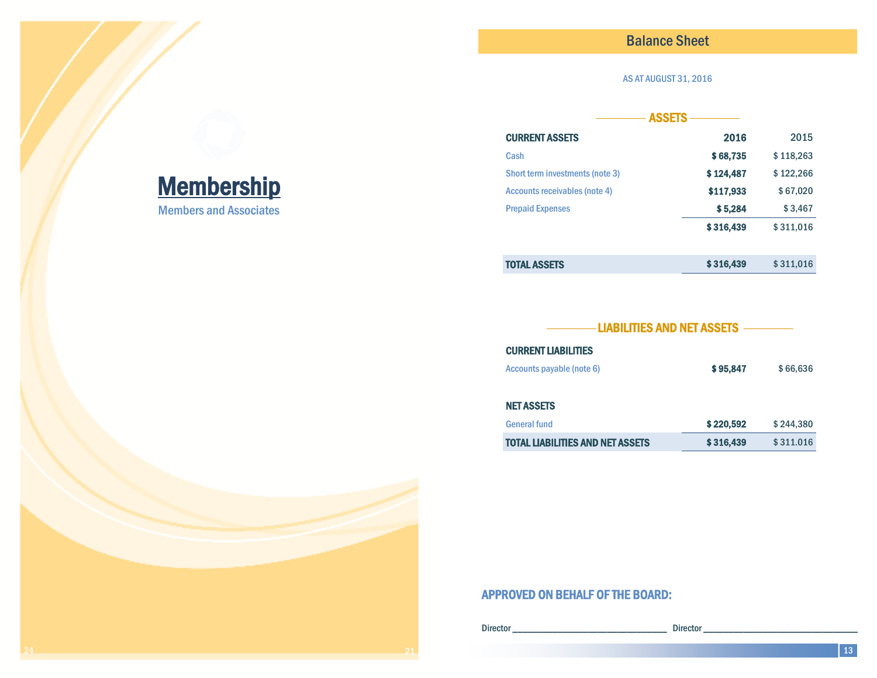### Balance Sheet

AS AT AUGUST 31, 2016

| <b>ASSETS</b>                   |           |           |  |
|---------------------------------|-----------|-----------|--|
| <b>CURRENT ASSETS</b>           | 2016      | 2015      |  |
| Cash                            | \$68,735  | \$118,263 |  |
| Short term investments (note 3) | \$124,487 | \$122,266 |  |
| Accounts receivables (note 4)   | \$117,933 | \$67,020  |  |
| <b>Prepaid Expenses</b>         | \$5,284   | \$3,467   |  |
|                                 | \$316,439 | \$311,016 |  |
| <b>TOTAL ASSETS</b>             | \$316,439 | \$311,016 |  |

| - LIABILITIES AND NET ASSETS -   |           |           |  |
|----------------------------------|-----------|-----------|--|
| <b>CURRENT LIABILITIES</b>       |           |           |  |
| Accounts payable (note 6)        | \$95,847  | \$66,636  |  |
|                                  |           |           |  |
| NET ASSETS                       |           |           |  |
| General fund                     | \$220,592 | \$244,380 |  |
| TOTAL LIABILITIES AND NET ASSETS | \$316,439 | \$311.016 |  |
|                                  |           |           |  |

### APPROVED ON BEHALF OF THE BOARD:

Director \_\_\_\_\_\_\_\_\_\_\_\_\_\_\_\_\_\_\_\_\_\_\_\_\_\_\_\_\_\_\_ Director \_\_\_\_\_\_\_\_\_\_\_\_\_\_\_\_\_\_\_\_\_\_\_\_\_\_\_\_\_\_\_

# **Membership**

Members and Associates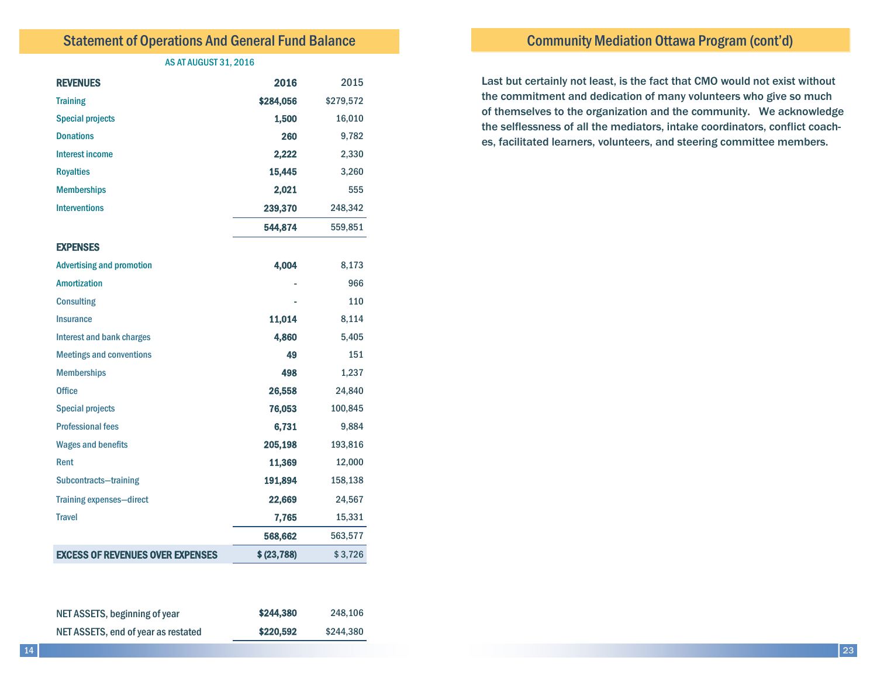### Statement of Operations And General Fund Balance

#### AS AT AUGUST 31, 2016

| <b>REVENUES</b>                         | 2016         | 2015      |
|-----------------------------------------|--------------|-----------|
| <b>Training</b>                         | \$284,056    | \$279,572 |
| <b>Special projects</b>                 | 1,500        | 16,010    |
| <b>Donations</b>                        | 260          | 9,782     |
| <b>Interest income</b>                  | 2,222        | 2,330     |
| <b>Royalties</b>                        | 15,445       | 3,260     |
| <b>Memberships</b>                      | 2,021        | 555       |
| <b>Interventions</b>                    | 239,370      | 248,342   |
|                                         | 544,874      | 559,851   |
| <b>EXPENSES</b>                         |              |           |
| <b>Advertising and promotion</b>        | 4,004        | 8,173     |
| <b>Amortization</b>                     |              | 966       |
| <b>Consulting</b>                       |              | 110       |
| <b>Insurance</b>                        | 11,014       | 8,114     |
| <b>Interest and bank charges</b>        | 4,860        | 5,405     |
| <b>Meetings and conventions</b>         | 49           | 151       |
| <b>Memberships</b>                      | 498          | 1,237     |
| <b>Office</b>                           | 26,558       | 24,840    |
| <b>Special projects</b>                 | 76,053       | 100,845   |
| <b>Professional fees</b>                | 6,731        | 9,884     |
| <b>Wages and benefits</b>               | 205,198      | 193,816   |
| Rent                                    | 11,369       | 12,000    |
| Subcontracts-training                   | 191,894      | 158,138   |
| <b>Training expenses-direct</b>         | 22,669       | 24,567    |
| <b>Travel</b>                           | 7,765        | 15,331    |
|                                         | 568,662      | 563,577   |
| <b>EXCESS OF REVENUES OVER EXPENSES</b> | \$ (23, 788) | \$3,726   |

| NET ASSETS, beginning of year       | \$244,380 | 248,106   |
|-------------------------------------|-----------|-----------|
| NET ASSETS, end of year as restated | \$220,592 | \$244.380 |

### Community Mediation Ottawa Program (cont'd)

Last but certainly not least, is the fact that CMO would not exist without the commitment and dedication of many volunteers who give so much of themselves to the organization and the community. We acknowledge the selflessness of all the mediators, intake coordinators, conflict coaches, facilitated learners, volunteers, and steering committee members.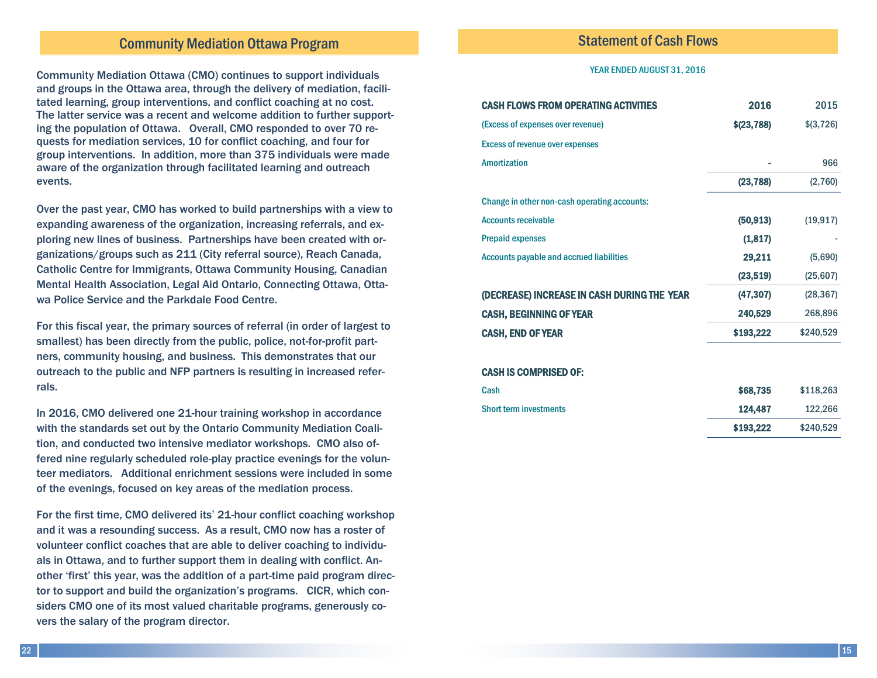### Community Mediation Ottawa Program

Community Mediation Ottawa (CMO) continues to support individuals and groups in the Ottawa area, through the delivery of mediation, facilitated learning, group interventions, and conflict coaching at no cost. The latter service was a recent and welcome addition to further supporting the population of Ottawa. Overall, CMO responded to over 70 requests for mediation services, 10 for conflict coaching, and four for group interventions. In addition, more than 375 individuals were made aware of the organization through facilitated learning and outreach events.

Over the past year, CMO has worked to build partnerships with a view to expanding awareness of the organization, increasing referrals, and exploring new lines of business. Partnerships have been created with organizations/groups such as 211 (City referral source), Reach Canada, Catholic Centre for Immigrants, Ottawa Community Housing, Canadian Mental Health Association, Legal Aid Ontario, Connecting Ottawa, Ottawa Police Service and the Parkdale Food Centre.

For this fiscal year, the primary sources of referral (in order of largest to smallest) has been directly from the public, police, not-for-profit partners, community housing, and business. This demonstrates that our outreach to the public and NFP partners is resulting in increased referrals.

In 2016, CMO delivered one 21-hour training workshop in accordance with the standards set out by the Ontario Community Mediation Coalition, and conducted two intensive mediator workshops. CMO also offered nine regularly scheduled role-play practice evenings for the volunteer mediators. Additional enrichment sessions were included in some of the evenings, focused on key areas of the mediation process.

For the first time, CMO delivered its' 21-hour conflict coaching workshop and it was a resounding success. As a result, CMO now has a roster of volunteer conflict coaches that are able to deliver coaching to individuals in Ottawa, and to further support them in dealing with conflict. Another 'first' this year, was the addition of a part-time paid program director to support and build the organization's programs. CICR, which considers CMO one of its most valued charitable programs, generously covers the salary of the program director.

### Statement of Cash Flows

#### YEAR ENDED AUGUST 31, 2016

| <b>CASH FLOWS FROM OPERATING ACTIVITIES</b>     | 2016         | 2015        |
|-------------------------------------------------|--------------|-------------|
| (Excess of expenses over revenue)               | \$ (23, 788) | \$ (3, 726) |
| <b>Excess of revenue over expenses</b>          |              |             |
| <b>Amortization</b>                             |              | 966         |
|                                                 | (23, 788)    | (2,760)     |
| Change in other non-cash operating accounts:    |              |             |
| <b>Accounts receivable</b>                      | (50, 913)    | (19, 917)   |
| <b>Prepaid expenses</b>                         | (1,817)      |             |
| <b>Accounts payable and accrued liabilities</b> | 29,211       | (5,690)     |
|                                                 | (23, 519)    | (25, 607)   |
| (DECREASE) INCREASE IN CASH DURING THE YEAR     | (47, 307)    | (28, 367)   |
| <b>CASH, BEGINNING OF YEAR</b>                  | 240,529      | 268,896     |
| <b>CASH, END OF YEAR</b>                        | \$193,222    | \$240,529   |
|                                                 |              |             |
|                                                 |              |             |

#### CASH IS COMPRISED OF:

| Cash                          | \$68,735  | \$118,263 |
|-------------------------------|-----------|-----------|
| <b>Short term investments</b> | 124.487   | 122.266   |
|                               | \$193,222 | \$240.529 |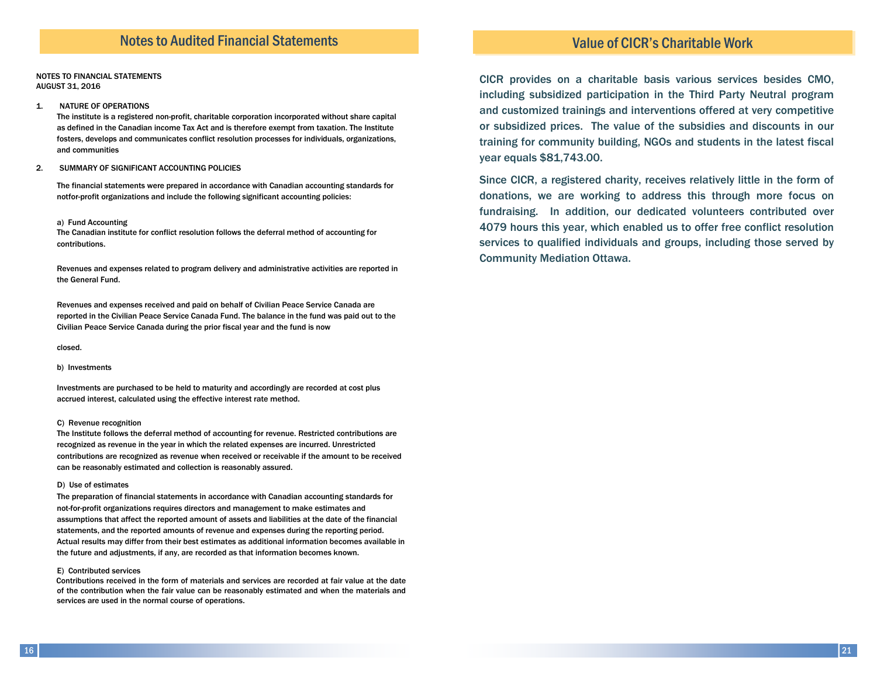#### NOTES TO FINANCIAL STATEMENTS AUGUST 31, 2016

#### 1. NATURE OF OPERATIONS

The institute is a registered non-profit, charitable corporation incorporated without share capital as defined in the Canadian income Tax Act and is therefore exempt from taxation. The Institute fosters, develops and communicates conflict resolution processes for individuals, organizations, and communities

#### 2. SUMMARY OF SIGNIFICANT ACCOUNTING POLICIES

The financial statements were prepared in accordance with Canadian accounting standards for notfor-profit organizations and include the following significant accounting policies:

#### a) Fund Accounting

The Canadian institute for conflict resolution follows the deferral method of accounting for contributions.

Revenues and expenses related to program delivery and administrative activities are reported in the General Fund.

Revenues and expenses received and paid on behalf of Civilian Peace Service Canada are reported in the Civilian Peace Service Canada Fund. The balance in the fund was paid out to the Civilian Peace Service Canada during the prior fiscal year and the fund is now

closed.

b) Investments

Investments are purchased to be held to maturity and accordingly are recorded at cost plus accrued interest, calculated using the effective interest rate method.

#### C) Revenue recognition

The Institute follows the deferral method of accounting for revenue. Restricted contributions are recognized as revenue in the year in which the related expenses are incurred. Unrestricted contributions are recognized as revenue when received or receivable if the amount to be received can be reasonably estimated and collection is reasonably assured.

#### D) Use of estimates

The preparation of financial statements in accordance with Canadian accounting standards for not-for-profit organizations requires directors and management to make estimates and assumptions that affect the reported amount of assets and liabilities at the date of the financial statements, and the reported amounts of revenue and expenses during the reporting period. Actual results may differ from their best estimates as additional information becomes available in the future and adjustments, if any, are recorded as that information becomes known.

#### E) Contributed services

Contributions received in the form of materials and services are recorded at fair value at the date of the contribution when the fair value can be reasonably estimated and when the materials and services are used in the normal course of operations.

### Value of CICR's Charitable Work

CICR provides on a charitable basis various services besides CMO, including subsidized participation in the Third Party Neutral program and customized trainings and interventions offered at very competitive or subsidized prices. The value of the subsidies and discounts in our training for community building, NGOs and students in the latest fiscal year equals \$81,743.00.

Since CICR, a registered charity, receives relatively little in the form of donations, we are working to address this through more focus on fundraising. In addition, our dedicated volunteers contributed over 4079 hours this year, which enabled us to offer free conflict resolution services to qualified individuals and groups, including those served by Community Mediation Ottawa.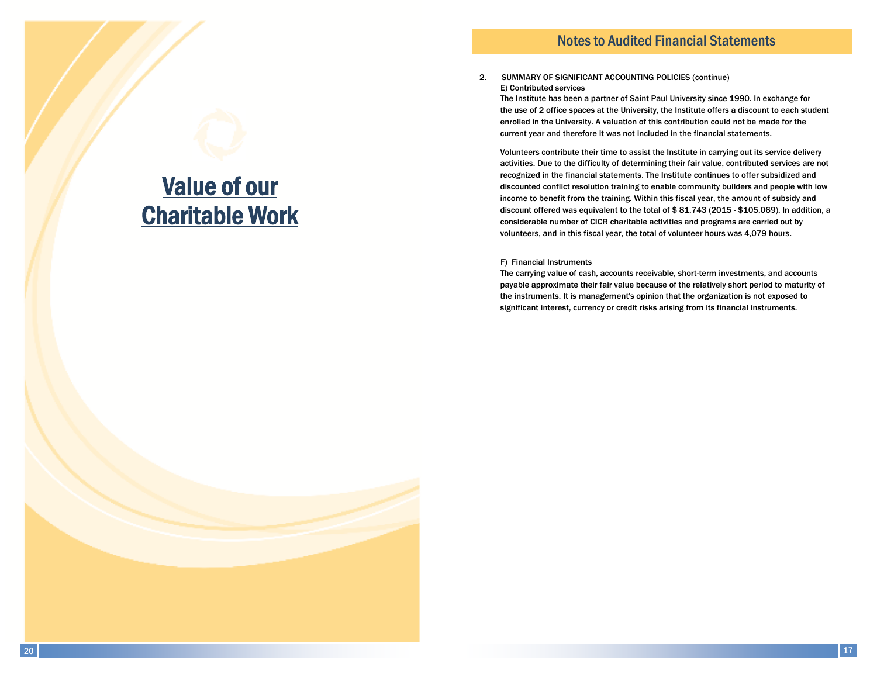### Notes to Audited Financial Statements

2. SUMMARY OF SIGNIFICANT ACCOUNTING POLICIES (continue) E) Contributed services

The Institute has been a partner of Saint Paul University since 1990. In exchange for the use of 2 office spaces at the University, the Institute offers a discount to each student enrolled in the University. A valuation of this contribution could not be made for the current year and therefore it was not included in the financial statements.

Volunteers contribute their time to assist the Institute in carrying out its service delivery activities. Due to the difficulty of determining their fair value, contributed services are not recognized in the financial statements. The Institute continues to offer subsidized and discounted conflict resolution training to enable community builders and people with low income to benefit from the training. Within this fiscal year, the amount of subsidy and discount offered was equivalent to the total of \$ 81,743 (2015 - \$105,069). In addition, a considerable number of CICR charitable activities and programs are carried out by volunteers, and in this fiscal year, the total of volunteer hours was 4,079 hours.

#### F) Financial Instruments

The carrying value of cash, accounts receivable, short-term investments, and accounts payable approximate their fair value because of the relatively short period to maturity of the instruments. It is management's opinion that the organization is not exposed to significant interest, currency or credit risks arising from its financial instruments.

# Value of our Charitable Work